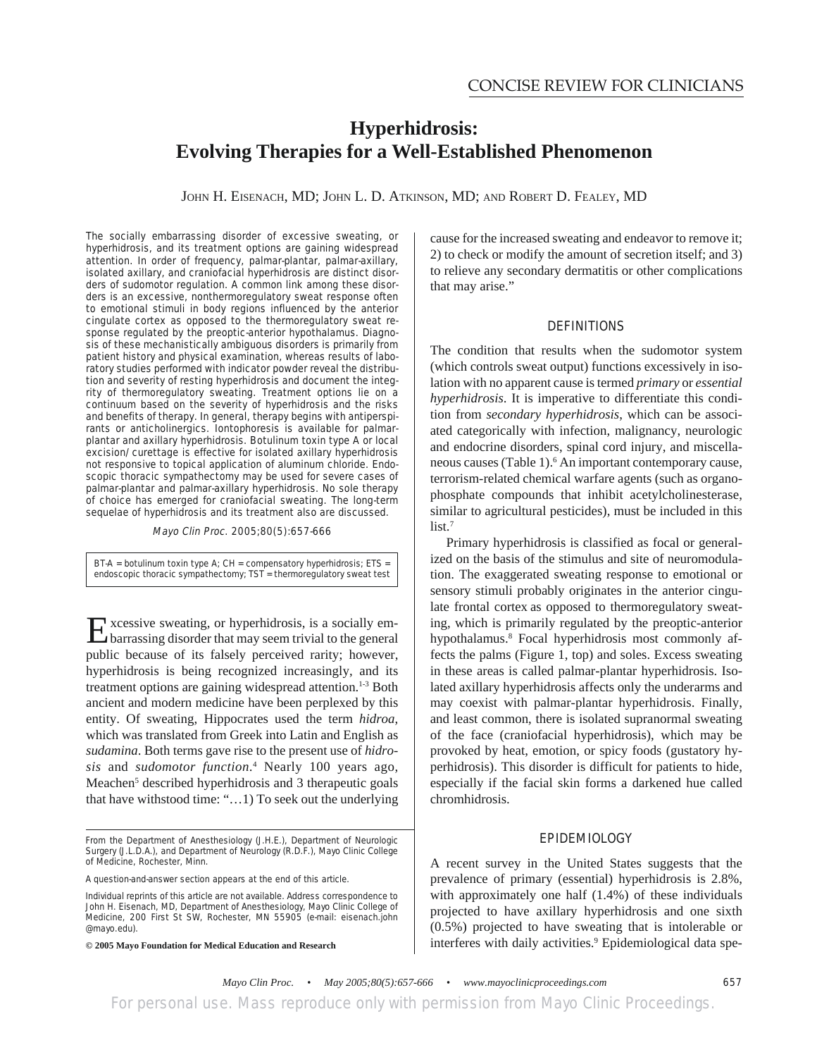# **Hyperhidrosis: Evolving Therapies for a Well-Established Phenomenon**

JOHN H. EISENACH, MD; JOHN L. D. ATKINSON, MD; AND ROBERT D. FEALEY, MD

The socially embarrassing disorder of excessive sweating, or hyperhidrosis, and its treatment options are gaining widespread attention. In order of frequency, palmar-plantar, palmar-axillary, isolated axillary, and craniofacial hyperhidrosis are distinct disorders of sudomotor regulation. A common link among these disorders is an excessive, nonthermoregulatory sweat response often to emotional stimuli in body regions influenced by the anterior cingulate cortex as opposed to the thermoregulatory sweat response regulated by the preoptic-anterior hypothalamus. Diagnosis of these mechanistically ambiguous disorders is primarily from patient history and physical examination, whereas results of laboratory studies performed with indicator powder reveal the distribution and severity of resting hyperhidrosis and document the integrity of thermoregulatory sweating. Treatment options lie on a continuum based on the severity of hyperhidrosis and the risks and benefits of therapy. In general, therapy begins with antiperspirants or anticholinergics. Iontophoresis is available for palmarplantar and axillary hyperhidrosis. Botulinum toxin type A or local excision/curettage is effective for isolated axillary hyperhidrosis not responsive to topical application of aluminum chloride. Endoscopic thoracic sympathectomy may be used for severe cases of palmar-plantar and palmar-axillary hyperhidrosis. No sole therapy of choice has emerged for craniofacial sweating. The long-term sequelae of hyperhidrosis and its treatment also are discussed.

Mayo Clin Proc. 2005;80(5):657-666

 $BT-A =$  botulinum toxin type A;  $CH =$  compensatory hyperhidrosis;  $ETS =$ endoscopic thoracic sympathectomy; TST = thermoregulatory sweat test

Excessive sweating, or hyperhidrosis, is a socially em-barrassing disorder that may seem trivial to the general public because of its falsely perceived rarity; however, hyperhidrosis is being recognized increasingly, and its treatment options are gaining widespread attention.<sup>1-3</sup> Both ancient and modern medicine have been perplexed by this entity. Of sweating, Hippocrates used the term *hidroa*, which was translated from Greek into Latin and English as *sudamina*. Both terms gave rise to the present use of *hidrosis* and *sudomotor function*. <sup>4</sup> Nearly 100 years ago, Meachen<sup>5</sup> described hyperhidrosis and 3 therapeutic goals that have withstood time: "…1) To seek out the underlying

A question-and-answer section appears at the end of this article.

**© 2005 Mayo Foundation for Medical Education and Research**

cause for the increased sweating and endeavor to remove it; 2) to check or modify the amount of secretion itself; and 3) to relieve any secondary dermatitis or other complications that may arise."

#### DEFINITIONS

The condition that results when the sudomotor system (which controls sweat output) functions excessively in isolation with no apparent cause is termed *primary* or *essential hyperhidrosis*. It is imperative to differentiate this condition from *secondary hyperhidrosis*, which can be associated categorically with infection, malignancy, neurologic and endocrine disorders, spinal cord injury, and miscellaneous causes (Table 1).<sup>6</sup> An important contemporary cause, terrorism-related chemical warfare agents (such as organophosphate compounds that inhibit acetylcholinesterase, similar to agricultural pesticides), must be included in this list.<sup>7</sup>

Primary hyperhidrosis is classified as focal or generalized on the basis of the stimulus and site of neuromodulation. The exaggerated sweating response to emotional or sensory stimuli probably originates in the anterior cingulate frontal cortex as opposed to thermoregulatory sweating, which is primarily regulated by the preoptic-anterior hypothalamus.<sup>8</sup> Focal hyperhidrosis most commonly affects the palms (Figure 1, top) and soles. Excess sweating in these areas is called palmar-plantar hyperhidrosis. Isolated axillary hyperhidrosis affects only the underarms and may coexist with palmar-plantar hyperhidrosis. Finally, and least common, there is isolated supranormal sweating of the face (craniofacial hyperhidrosis), which may be provoked by heat, emotion, or spicy foods (gustatory hyperhidrosis). This disorder is difficult for patients to hide, especially if the facial skin forms a darkened hue called chromhidrosis.

#### EPIDEMIOLOGY

A recent survey in the United States suggests that the prevalence of primary (essential) hyperhidrosis is 2.8%, with approximately one half (1.4%) of these individuals projected to have axillary hyperhidrosis and one sixth (0.5%) projected to have sweating that is intolerable or interferes with daily activities.<sup>9</sup> Epidemiological data spe-

From the Department of Anesthesiology (J.H.E.), Department of Neurologic Surgery (J.L.D.A.), and Department of Neurology (R.D.F.), Mayo Clinic College of Medicine, Rochester, Minn.

Individual reprints of this article are not available. Address correspondence to John H. Eisenach, MD, Department of Anesthesiology, Mayo Clinic College of Medicine, 200 First St SW, Rochester, MN 55905 (e-mail: eisenach.john @mayo.edu).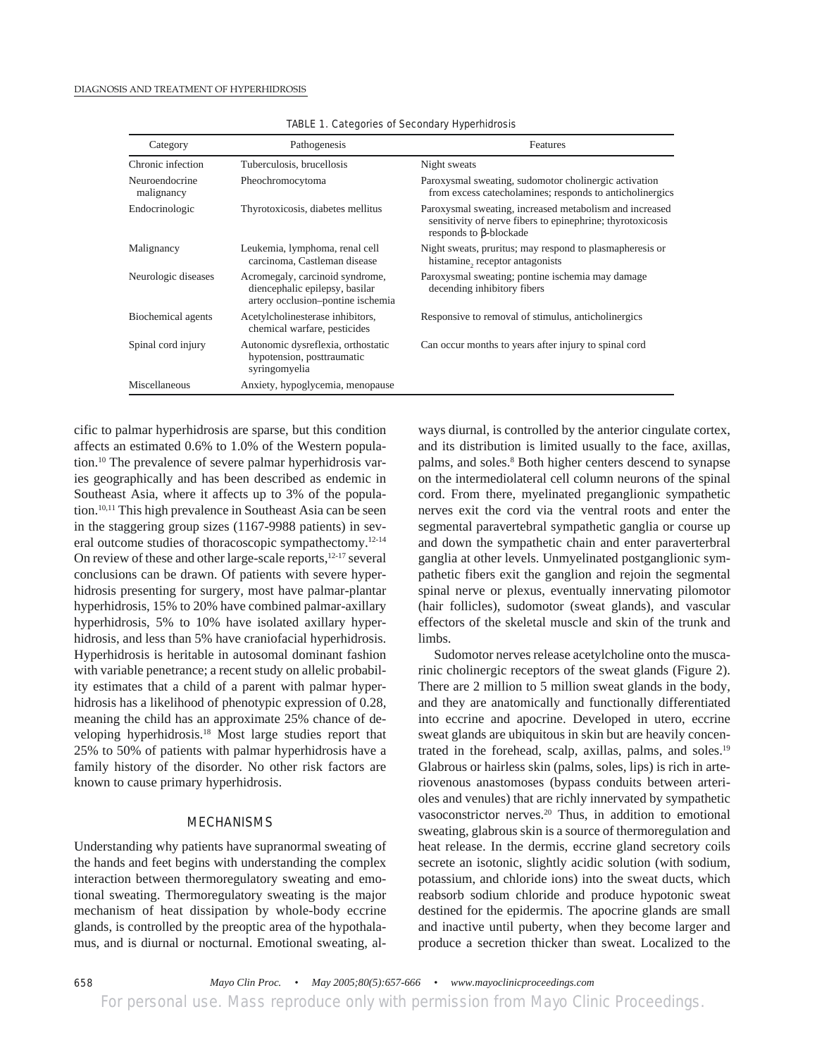| Category                     | Pathogenesis                                                                                           | Features                                                                                                                                               |  |  |  |
|------------------------------|--------------------------------------------------------------------------------------------------------|--------------------------------------------------------------------------------------------------------------------------------------------------------|--|--|--|
| Chronic infection            | Tuberculosis, brucellosis                                                                              | Night sweats                                                                                                                                           |  |  |  |
| Neuroendocrine<br>malignancy | Pheochromocytoma                                                                                       | Paroxysmal sweating, sudomotor cholinergic activation<br>from excess catecholamines; responds to anticholinergics                                      |  |  |  |
| Endocrinologic               | Thyrotoxicosis, diabetes mellitus                                                                      | Paroxysmal sweating, increased metabolism and increased<br>sensitivity of nerve fibers to epinephrine; thyrotoxicosis<br>responds to $\beta$ -blockade |  |  |  |
| Malignancy                   | Leukemia, lymphoma, renal cell<br>carcinoma, Castleman disease                                         | Night sweats, pruritus; may respond to plasmapheresis or<br>histamine, receptor antagonists                                                            |  |  |  |
| Neurologic diseases          | Acromegaly, carcinoid syndrome,<br>diencephalic epilepsy, basilar<br>artery occlusion-pontine ischemia | Paroxysmal sweating; pontine ischemia may damage<br>decending inhibitory fibers                                                                        |  |  |  |
| Biochemical agents           | Acetylcholinesterase inhibitors,<br>chemical warfare, pesticides                                       | Responsive to removal of stimulus, anticholinergics                                                                                                    |  |  |  |
| Spinal cord injury           | Autonomic dysreflexia, orthostatic<br>hypotension, posttraumatic<br>syringomyelia                      | Can occur months to years after injury to spinal cord                                                                                                  |  |  |  |
| Miscellaneous                | Anxiety, hypoglycemia, menopause                                                                       |                                                                                                                                                        |  |  |  |

TABLE 1. Categories of Secondary Hyperhidrosis

cific to palmar hyperhidrosis are sparse, but this condition affects an estimated 0.6% to 1.0% of the Western population.10 The prevalence of severe palmar hyperhidrosis varies geographically and has been described as endemic in Southeast Asia, where it affects up to 3% of the population.<sup>10,11</sup> This high prevalence in Southeast Asia can be seen in the staggering group sizes (1167-9988 patients) in several outcome studies of thoracoscopic sympathectomy.12-14 On review of these and other large-scale reports, $12-17$  several conclusions can be drawn. Of patients with severe hyperhidrosis presenting for surgery, most have palmar-plantar hyperhidrosis, 15% to 20% have combined palmar-axillary hyperhidrosis, 5% to 10% have isolated axillary hyperhidrosis, and less than 5% have craniofacial hyperhidrosis. Hyperhidrosis is heritable in autosomal dominant fashion with variable penetrance; a recent study on allelic probability estimates that a child of a parent with palmar hyperhidrosis has a likelihood of phenotypic expression of 0.28, meaning the child has an approximate 25% chance of developing hyperhidrosis.18 Most large studies report that 25% to 50% of patients with palmar hyperhidrosis have a family history of the disorder. No other risk factors are known to cause primary hyperhidrosis.

#### MECHANISMS

Understanding why patients have supranormal sweating of the hands and feet begins with understanding the complex interaction between thermoregulatory sweating and emotional sweating. Thermoregulatory sweating is the major mechanism of heat dissipation by whole-body eccrine glands, is controlled by the preoptic area of the hypothalamus, and is diurnal or nocturnal. Emotional sweating, al-

ways diurnal, is controlled by the anterior cingulate cortex, and its distribution is limited usually to the face, axillas, palms, and soles.8 Both higher centers descend to synapse on the intermediolateral cell column neurons of the spinal cord. From there, myelinated preganglionic sympathetic nerves exit the cord via the ventral roots and enter the segmental paravertebral sympathetic ganglia or course up and down the sympathetic chain and enter paraverterbral ganglia at other levels. Unmyelinated postganglionic sympathetic fibers exit the ganglion and rejoin the segmental spinal nerve or plexus, eventually innervating pilomotor (hair follicles), sudomotor (sweat glands), and vascular effectors of the skeletal muscle and skin of the trunk and limbs.

Sudomotor nerves release acetylcholine onto the muscarinic cholinergic receptors of the sweat glands (Figure 2). There are 2 million to 5 million sweat glands in the body, and they are anatomically and functionally differentiated into eccrine and apocrine. Developed in utero, eccrine sweat glands are ubiquitous in skin but are heavily concentrated in the forehead, scalp, axillas, palms, and soles.<sup>19</sup> Glabrous or hairless skin (palms, soles, lips) is rich in arteriovenous anastomoses (bypass conduits between arterioles and venules) that are richly innervated by sympathetic vasoconstrictor nerves.<sup>20</sup> Thus, in addition to emotional sweating, glabrous skin is a source of thermoregulation and heat release. In the dermis, eccrine gland secretory coils secrete an isotonic, slightly acidic solution (with sodium, potassium, and chloride ions) into the sweat ducts, which reabsorb sodium chloride and produce hypotonic sweat destined for the epidermis. The apocrine glands are small and inactive until puberty, when they become larger and produce a secretion thicker than sweat. Localized to the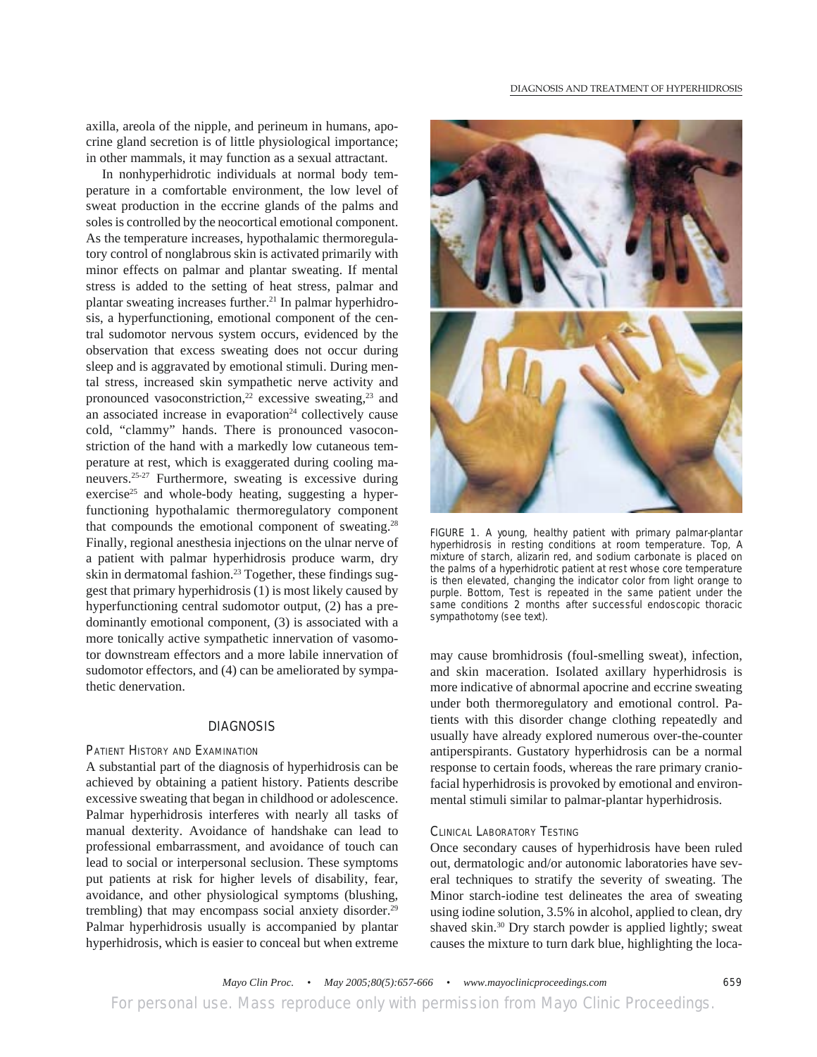#### DIAGNOSIS AND TREATMENT OF HYPERHIDROSIS

axilla, areola of the nipple, and perineum in humans, apocrine gland secretion is of little physiological importance; in other mammals, it may function as a sexual attractant.

In nonhyperhidrotic individuals at normal body temperature in a comfortable environment, the low level of sweat production in the eccrine glands of the palms and soles is controlled by the neocortical emotional component. As the temperature increases, hypothalamic thermoregulatory control of nonglabrous skin is activated primarily with minor effects on palmar and plantar sweating. If mental stress is added to the setting of heat stress, palmar and plantar sweating increases further.<sup>21</sup> In palmar hyperhidrosis, a hyperfunctioning, emotional component of the central sudomotor nervous system occurs, evidenced by the observation that excess sweating does not occur during sleep and is aggravated by emotional stimuli. During mental stress, increased skin sympathetic nerve activity and pronounced vasoconstriction,<sup>22</sup> excessive sweating,<sup>23</sup> and an associated increase in evaporation $24$  collectively cause cold, "clammy" hands. There is pronounced vasoconstriction of the hand with a markedly low cutaneous temperature at rest, which is exaggerated during cooling maneuvers.25-27 Furthermore, sweating is excessive during exercise<sup>25</sup> and whole-body heating, suggesting a hyperfunctioning hypothalamic thermoregulatory component that compounds the emotional component of sweating.<sup>28</sup> Finally, regional anesthesia injections on the ulnar nerve of a patient with palmar hyperhidrosis produce warm, dry skin in dermatomal fashion.<sup>23</sup> Together, these findings suggest that primary hyperhidrosis (1) is most likely caused by hyperfunctioning central sudomotor output, (2) has a predominantly emotional component, (3) is associated with a more tonically active sympathetic innervation of vasomotor downstream effectors and a more labile innervation of sudomotor effectors, and (4) can be ameliorated by sympathetic denervation.

#### **DIAGNOSIS**

#### PATIENT HISTORY AND EXAMINATION

A substantial part of the diagnosis of hyperhidrosis can be achieved by obtaining a patient history. Patients describe excessive sweating that began in childhood or adolescence. Palmar hyperhidrosis interferes with nearly all tasks of manual dexterity. Avoidance of handshake can lead to professional embarrassment, and avoidance of touch can lead to social or interpersonal seclusion. These symptoms put patients at risk for higher levels of disability, fear, avoidance, and other physiological symptoms (blushing, trembling) that may encompass social anxiety disorder.<sup>29</sup> Palmar hyperhidrosis usually is accompanied by plantar hyperhidrosis, which is easier to conceal but when extreme



FIGURE 1. A young, healthy patient with primary palmar-plantar hyperhidrosis in resting conditions at room temperature. Top, A mixture of starch, alizarin red, and sodium carbonate is placed on the palms of a hyperhidrotic patient at rest whose core temperature is then elevated, changing the indicator color from light orange to purple. Bottom, Test is repeated in the same patient under the same conditions 2 months after successful endoscopic thoracic sympathotomy (see text).

may cause bromhidrosis (foul-smelling sweat), infection, and skin maceration. Isolated axillary hyperhidrosis is more indicative of abnormal apocrine and eccrine sweating under both thermoregulatory and emotional control. Patients with this disorder change clothing repeatedly and usually have already explored numerous over-the-counter antiperspirants. Gustatory hyperhidrosis can be a normal response to certain foods, whereas the rare primary craniofacial hyperhidrosis is provoked by emotional and environmental stimuli similar to palmar-plantar hyperhidrosis.

#### CLINICAL LABORATORY TESTING

Once secondary causes of hyperhidrosis have been ruled out, dermatologic and/or autonomic laboratories have several techniques to stratify the severity of sweating. The Minor starch-iodine test delineates the area of sweating using iodine solution, 3.5% in alcohol, applied to clean, dry shaved skin.<sup>30</sup> Dry starch powder is applied lightly; sweat causes the mixture to turn dark blue, highlighting the loca-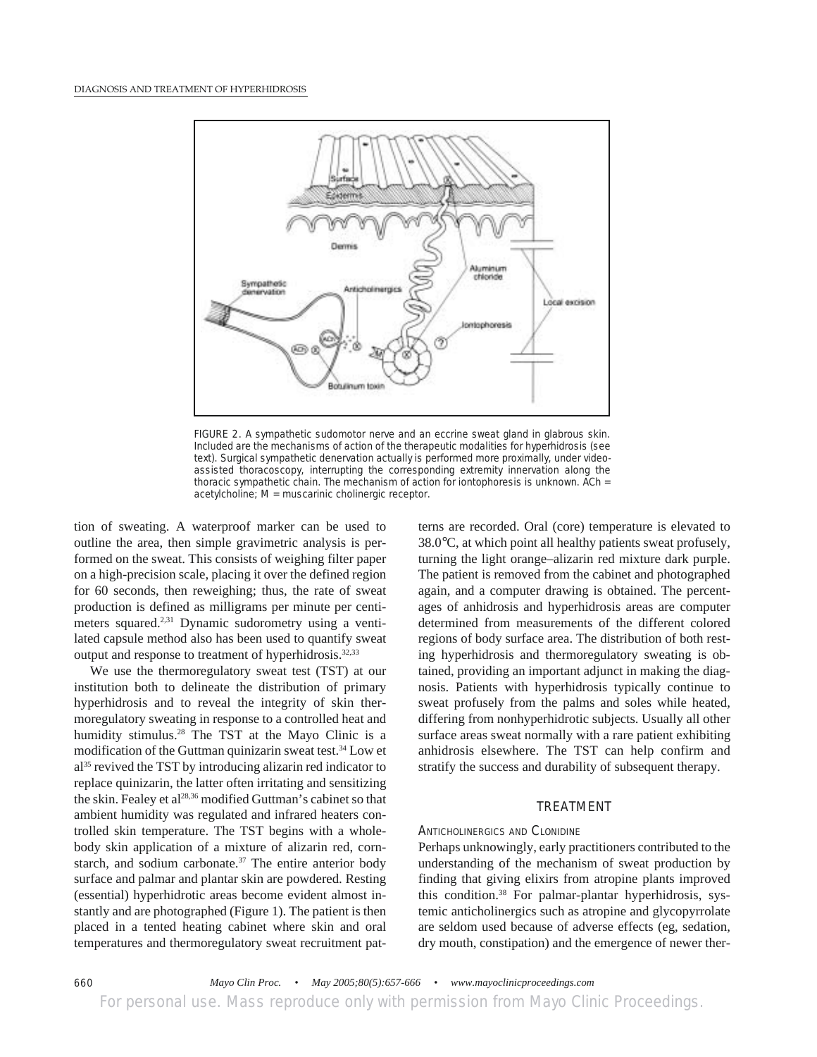

FIGURE 2. A sympathetic sudomotor nerve and an eccrine sweat gland in glabrous skin. Included are the mechanisms of action of the therapeutic modalities for hyperhidrosis (see text). Surgical sympathetic denervation actually is performed more proximally, under videoassisted thoracoscopy, interrupting the corresponding extremity innervation along the thoracic sympathetic chain. The mechanism of action for iontophoresis is unknown. ACh = acetylcholine; M = muscarinic cholinergic receptor.

tion of sweating. A waterproof marker can be used to outline the area, then simple gravimetric analysis is performed on the sweat. This consists of weighing filter paper on a high-precision scale, placing it over the defined region for 60 seconds, then reweighing; thus, the rate of sweat production is defined as milligrams per minute per centimeters squared.2,31 Dynamic sudorometry using a ventilated capsule method also has been used to quantify sweat output and response to treatment of hyperhidrosis.<sup>32,33</sup>

We use the thermoregulatory sweat test (TST) at our institution both to delineate the distribution of primary hyperhidrosis and to reveal the integrity of skin thermoregulatory sweating in response to a controlled heat and humidity stimulus.<sup>28</sup> The TST at the Mayo Clinic is a modification of the Guttman quinizarin sweat test.34 Low et al<sup>35</sup> revived the TST by introducing alizarin red indicator to replace quinizarin, the latter often irritating and sensitizing the skin. Fealey et al<sup>28,36</sup> modified Guttman's cabinet so that ambient humidity was regulated and infrared heaters controlled skin temperature. The TST begins with a wholebody skin application of a mixture of alizarin red, cornstarch, and sodium carbonate.<sup>37</sup> The entire anterior body surface and palmar and plantar skin are powdered. Resting (essential) hyperhidrotic areas become evident almost instantly and are photographed (Figure 1). The patient is then placed in a tented heating cabinet where skin and oral temperatures and thermoregulatory sweat recruitment pat-

terns are recorded. Oral (core) temperature is elevated to 38.0°C, at which point all healthy patients sweat profusely, turning the light orange–alizarin red mixture dark purple. The patient is removed from the cabinet and photographed again, and a computer drawing is obtained. The percentages of anhidrosis and hyperhidrosis areas are computer determined from measurements of the different colored regions of body surface area. The distribution of both resting hyperhidrosis and thermoregulatory sweating is obtained, providing an important adjunct in making the diagnosis. Patients with hyperhidrosis typically continue to sweat profusely from the palms and soles while heated, differing from nonhyperhidrotic subjects. Usually all other surface areas sweat normally with a rare patient exhibiting anhidrosis elsewhere. The TST can help confirm and stratify the success and durability of subsequent therapy.

### TREATMENT

#### ANTICHOLINERGICS AND CLONIDINE

Perhaps unknowingly, early practitioners contributed to the understanding of the mechanism of sweat production by finding that giving elixirs from atropine plants improved this condition.38 For palmar-plantar hyperhidrosis, systemic anticholinergics such as atropine and glycopyrrolate are seldom used because of adverse effects (eg, sedation, dry mouth, constipation) and the emergence of newer ther-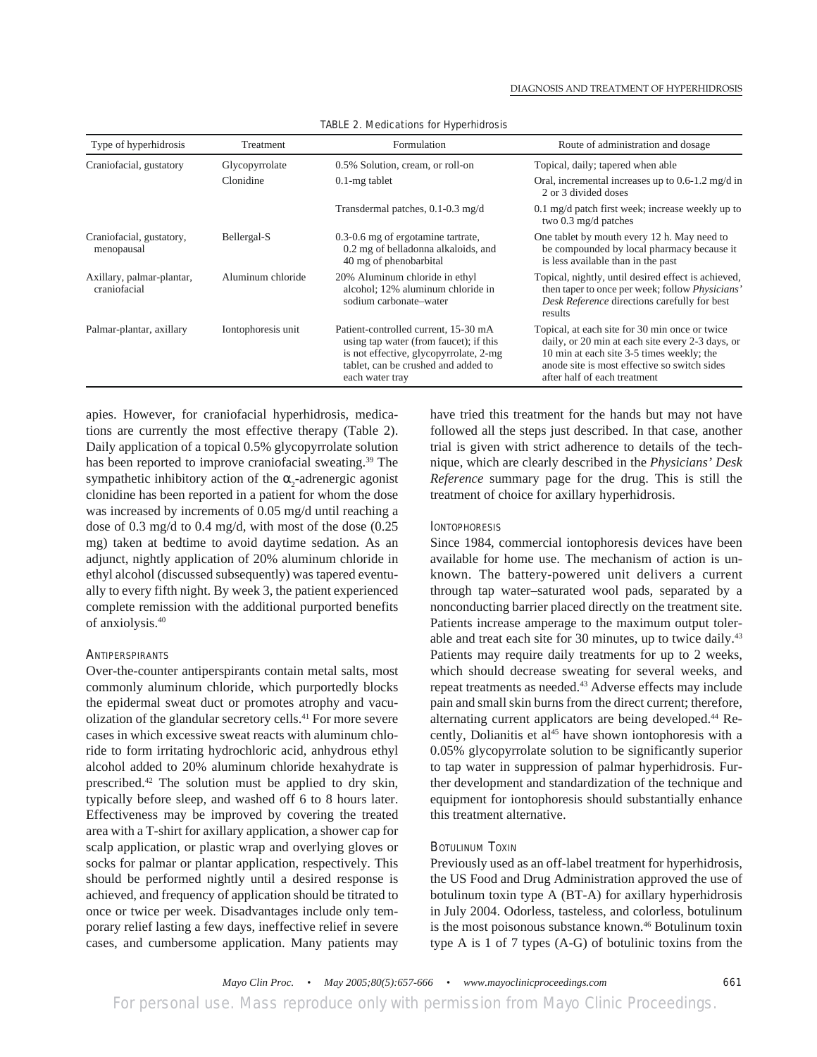| . .                                       |                    |                                                                                                                                                                                    |                                                                                                                                                                                                                                 |
|-------------------------------------------|--------------------|------------------------------------------------------------------------------------------------------------------------------------------------------------------------------------|---------------------------------------------------------------------------------------------------------------------------------------------------------------------------------------------------------------------------------|
| Type of hyperhidrosis                     | Treatment          | Formulation                                                                                                                                                                        | Route of administration and dosage                                                                                                                                                                                              |
| Craniofacial, gustatory                   | Glycopyrrolate     | 0.5% Solution, cream, or roll-on                                                                                                                                                   | Topical, daily; tapered when able                                                                                                                                                                                               |
|                                           | Clonidine          | $0.1$ -mg tablet                                                                                                                                                                   | Oral, incremental increases up to $0.6$ -1.2 mg/d in<br>2 or 3 divided doses                                                                                                                                                    |
|                                           |                    | Transdermal patches, 0.1-0.3 mg/d                                                                                                                                                  | 0.1 mg/d patch first week; increase weekly up to<br>two 0.3 mg/d patches                                                                                                                                                        |
| Craniofacial, gustatory,<br>menopausal    | Bellergal-S        | 0.3-0.6 mg of ergotamine tartrate,<br>0.2 mg of belladonna alkaloids, and<br>40 mg of phenobarbital                                                                                | One tablet by mouth every 12 h. May need to<br>be compounded by local pharmacy because it<br>is less available than in the past                                                                                                 |
| Axillary, palmar-plantar,<br>craniofacial | Aluminum chloride  | 20% Aluminum chloride in ethyl<br>alcohol; 12% aluminum chloride in<br>sodium carbonate-water                                                                                      | Topical, nightly, until desired effect is achieved,<br>then taper to once per week; follow Physicians'<br>Desk Reference directions carefully for best<br>results                                                               |
| Palmar-plantar, axillary                  | Iontophoresis unit | Patient-controlled current, 15-30 mA<br>using tap water (from faucet); if this<br>is not effective, glycopyrrolate, 2-mg<br>tablet, can be crushed and added to<br>each water tray | Topical, at each site for 30 min once or twice<br>daily, or 20 min at each site every 2-3 days, or<br>10 min at each site 3-5 times weekly; the<br>anode site is most effective so switch sides<br>after half of each treatment |

TABLE 2. Medications for Hyperhidrosis

apies. However, for craniofacial hyperhidrosis, medications are currently the most effective therapy (Table 2). Daily application of a topical 0.5% glycopyrrolate solution has been reported to improve craniofacial sweating.<sup>39</sup> The sympathetic inhibitory action of the  $\alpha$ <sub>2</sub>-adrenergic agonist clonidine has been reported in a patient for whom the dose was increased by increments of 0.05 mg/d until reaching a dose of 0.3 mg/d to 0.4 mg/d, with most of the dose (0.25 mg) taken at bedtime to avoid daytime sedation. As an adjunct, nightly application of 20% aluminum chloride in ethyl alcohol (discussed subsequently) was tapered eventually to every fifth night. By week 3, the patient experienced complete remission with the additional purported benefits of anxiolysis.40

#### **ANTIPERSPIRANTS**

Over-the-counter antiperspirants contain metal salts, most commonly aluminum chloride, which purportedly blocks the epidermal sweat duct or promotes atrophy and vacuolization of the glandular secretory cells.<sup>41</sup> For more severe cases in which excessive sweat reacts with aluminum chloride to form irritating hydrochloric acid, anhydrous ethyl alcohol added to 20% aluminum chloride hexahydrate is prescribed.42 The solution must be applied to dry skin, typically before sleep, and washed off 6 to 8 hours later. Effectiveness may be improved by covering the treated area with a T-shirt for axillary application, a shower cap for scalp application, or plastic wrap and overlying gloves or socks for palmar or plantar application, respectively. This should be performed nightly until a desired response is achieved, and frequency of application should be titrated to once or twice per week. Disadvantages include only temporary relief lasting a few days, ineffective relief in severe cases, and cumbersome application. Many patients may

have tried this treatment for the hands but may not have followed all the steps just described. In that case, another trial is given with strict adherence to details of the technique, which are clearly described in the *Physicians' Desk Reference* summary page for the drug. This is still the treatment of choice for axillary hyperhidrosis.

#### **IONTOPHORESIS**

Since 1984, commercial iontophoresis devices have been available for home use. The mechanism of action is unknown. The battery-powered unit delivers a current through tap water–saturated wool pads, separated by a nonconducting barrier placed directly on the treatment site. Patients increase amperage to the maximum output tolerable and treat each site for 30 minutes, up to twice daily.<sup>43</sup> Patients may require daily treatments for up to 2 weeks, which should decrease sweating for several weeks, and repeat treatments as needed.43 Adverse effects may include pain and small skin burns from the direct current; therefore, alternating current applicators are being developed.<sup>44</sup> Recently, Dolianitis et al<sup>45</sup> have shown iontophoresis with a 0.05% glycopyrrolate solution to be significantly superior to tap water in suppression of palmar hyperhidrosis. Further development and standardization of the technique and equipment for iontophoresis should substantially enhance this treatment alternative.

#### **BOTULINUM TOXIN**

Previously used as an off-label treatment for hyperhidrosis, the US Food and Drug Administration approved the use of botulinum toxin type A (BT-A) for axillary hyperhidrosis in July 2004. Odorless, tasteless, and colorless, botulinum is the most poisonous substance known.<sup>46</sup> Botulinum toxin type A is 1 of 7 types (A-G) of botulinic toxins from the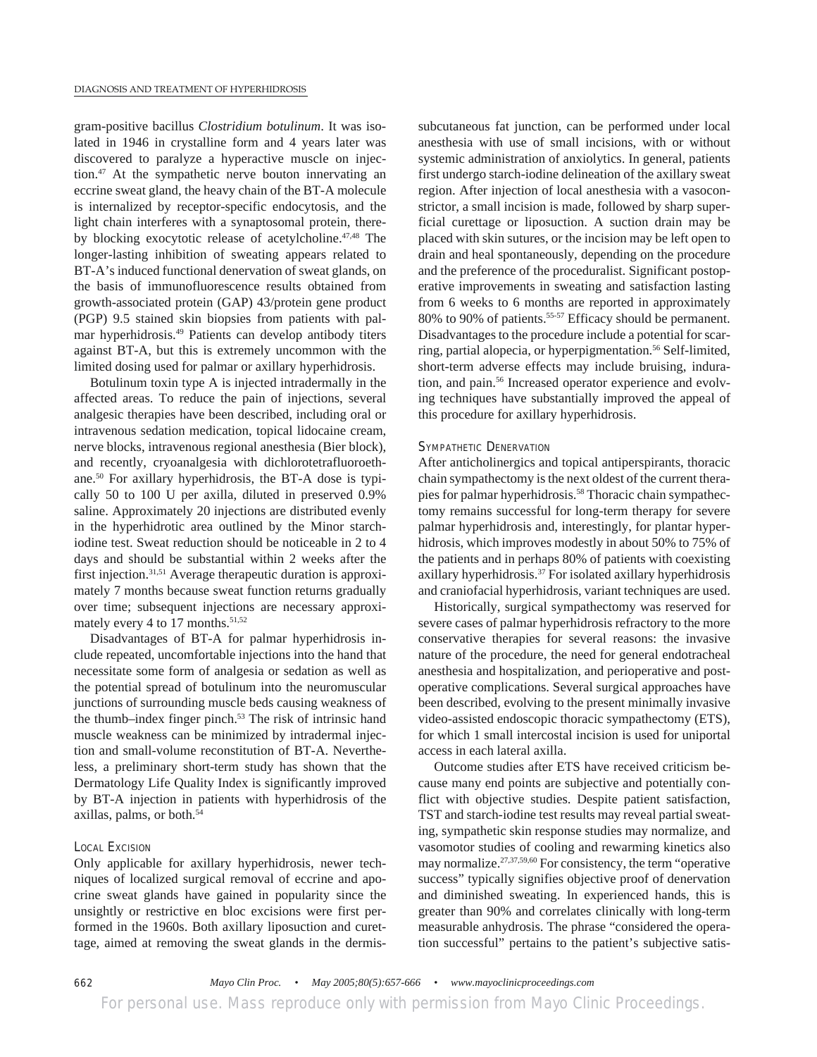gram-positive bacillus *Clostridium botulinum*. It was isolated in 1946 in crystalline form and 4 years later was discovered to paralyze a hyperactive muscle on injection.47 At the sympathetic nerve bouton innervating an eccrine sweat gland, the heavy chain of the BT-A molecule is internalized by receptor-specific endocytosis, and the light chain interferes with a synaptosomal protein, thereby blocking exocytotic release of acetylcholine.47,48 The longer-lasting inhibition of sweating appears related to BT-A's induced functional denervation of sweat glands, on the basis of immunofluorescence results obtained from growth-associated protein (GAP) 43/protein gene product (PGP) 9.5 stained skin biopsies from patients with palmar hyperhidrosis.49 Patients can develop antibody titers against BT-A, but this is extremely uncommon with the limited dosing used for palmar or axillary hyperhidrosis.

Botulinum toxin type A is injected intradermally in the affected areas. To reduce the pain of injections, several analgesic therapies have been described, including oral or intravenous sedation medication, topical lidocaine cream, nerve blocks, intravenous regional anesthesia (Bier block), and recently, cryoanalgesia with dichlorotetrafluoroethane.50 For axillary hyperhidrosis, the BT-A dose is typically 50 to 100 U per axilla, diluted in preserved 0.9% saline. Approximately 20 injections are distributed evenly in the hyperhidrotic area outlined by the Minor starchiodine test. Sweat reduction should be noticeable in 2 to 4 days and should be substantial within 2 weeks after the first injection.<sup>31,51</sup> Average therapeutic duration is approximately 7 months because sweat function returns gradually over time; subsequent injections are necessary approximately every 4 to 17 months.<sup>51,52</sup>

Disadvantages of BT-A for palmar hyperhidrosis include repeated, uncomfortable injections into the hand that necessitate some form of analgesia or sedation as well as the potential spread of botulinum into the neuromuscular junctions of surrounding muscle beds causing weakness of the thumb-index finger pinch.<sup>53</sup> The risk of intrinsic hand muscle weakness can be minimized by intradermal injection and small-volume reconstitution of BT-A. Nevertheless, a preliminary short-term study has shown that the Dermatology Life Quality Index is significantly improved by BT-A injection in patients with hyperhidrosis of the axillas, palms, or both.54

#### LOCAL EXCISION

Only applicable for axillary hyperhidrosis, newer techniques of localized surgical removal of eccrine and apocrine sweat glands have gained in popularity since the unsightly or restrictive en bloc excisions were first performed in the 1960s. Both axillary liposuction and curettage, aimed at removing the sweat glands in the dermissubcutaneous fat junction, can be performed under local anesthesia with use of small incisions, with or without systemic administration of anxiolytics. In general, patients first undergo starch-iodine delineation of the axillary sweat region. After injection of local anesthesia with a vasoconstrictor, a small incision is made, followed by sharp superficial curettage or liposuction. A suction drain may be placed with skin sutures, or the incision may be left open to drain and heal spontaneously, depending on the procedure and the preference of the proceduralist. Significant postoperative improvements in sweating and satisfaction lasting from 6 weeks to 6 months are reported in approximately 80% to 90% of patients.<sup>55-57</sup> Efficacy should be permanent. Disadvantages to the procedure include a potential for scarring, partial alopecia, or hyperpigmentation.<sup>56</sup> Self-limited, short-term adverse effects may include bruising, induration, and pain.<sup>56</sup> Increased operator experience and evolving techniques have substantially improved the appeal of this procedure for axillary hyperhidrosis.

#### SYMPATHETIC DENERVATION

After anticholinergics and topical antiperspirants, thoracic chain sympathectomy is the next oldest of the current therapies for palmar hyperhidrosis.<sup>58</sup> Thoracic chain sympathectomy remains successful for long-term therapy for severe palmar hyperhidrosis and, interestingly, for plantar hyperhidrosis, which improves modestly in about 50% to 75% of the patients and in perhaps 80% of patients with coexisting axillary hyperhidrosis.37 For isolated axillary hyperhidrosis and craniofacial hyperhidrosis, variant techniques are used.

Historically, surgical sympathectomy was reserved for severe cases of palmar hyperhidrosis refractory to the more conservative therapies for several reasons: the invasive nature of the procedure, the need for general endotracheal anesthesia and hospitalization, and perioperative and postoperative complications. Several surgical approaches have been described, evolving to the present minimally invasive video-assisted endoscopic thoracic sympathectomy (ETS), for which 1 small intercostal incision is used for uniportal access in each lateral axilla.

Outcome studies after ETS have received criticism because many end points are subjective and potentially conflict with objective studies. Despite patient satisfaction, TST and starch-iodine test results may reveal partial sweating, sympathetic skin response studies may normalize, and vasomotor studies of cooling and rewarming kinetics also may normalize.27,37,59,60 For consistency, the term "operative success" typically signifies objective proof of denervation and diminished sweating. In experienced hands, this is greater than 90% and correlates clinically with long-term measurable anhydrosis. The phrase "considered the operation successful" pertains to the patient's subjective satis-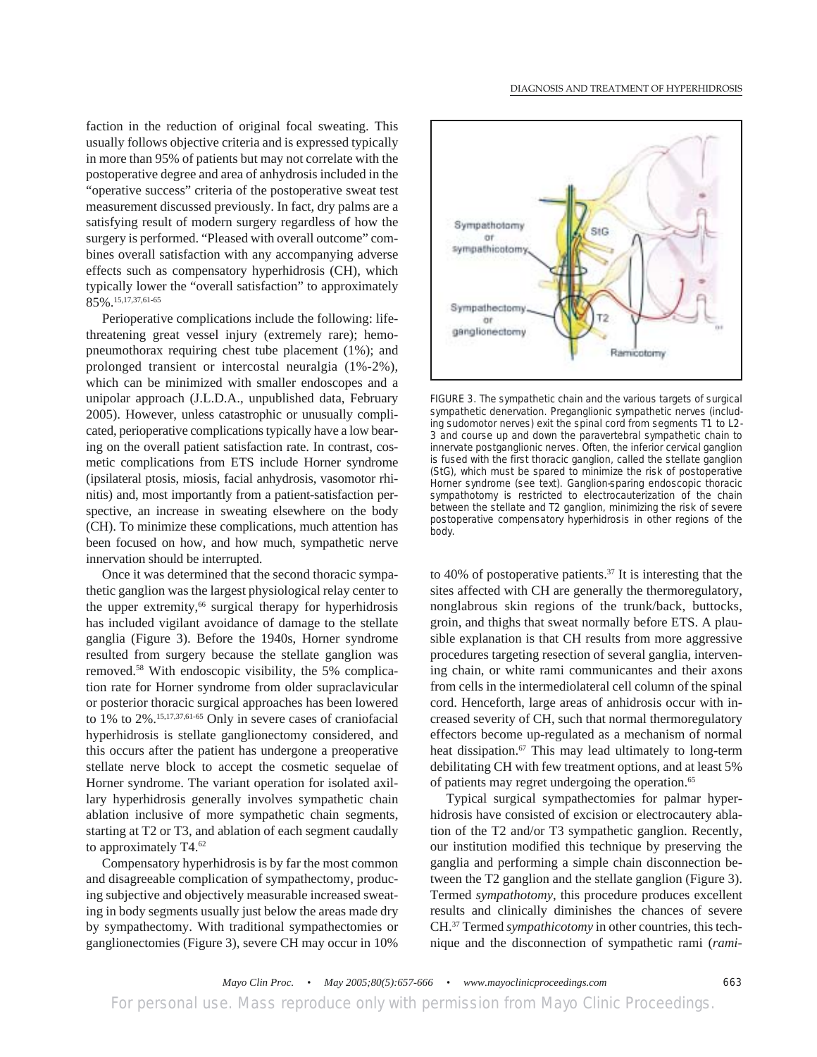faction in the reduction of original focal sweating. This usually follows objective criteria and is expressed typically in more than 95% of patients but may not correlate with the postoperative degree and area of anhydrosis included in the "operative success" criteria of the postoperative sweat test measurement discussed previously. In fact, dry palms are a satisfying result of modern surgery regardless of how the surgery is performed. "Pleased with overall outcome" combines overall satisfaction with any accompanying adverse effects such as compensatory hyperhidrosis (CH), which typically lower the "overall satisfaction" to approximately 85%.15,17,37,61-65

Perioperative complications include the following: lifethreatening great vessel injury (extremely rare); hemopneumothorax requiring chest tube placement (1%); and prolonged transient or intercostal neuralgia (1%-2%), which can be minimized with smaller endoscopes and a unipolar approach (J.L.D.A., unpublished data, February 2005). However, unless catastrophic or unusually complicated, perioperative complications typically have a low bearing on the overall patient satisfaction rate. In contrast, cosmetic complications from ETS include Horner syndrome (ipsilateral ptosis, miosis, facial anhydrosis, vasomotor rhinitis) and, most importantly from a patient-satisfaction perspective, an increase in sweating elsewhere on the body (CH). To minimize these complications, much attention has been focused on how, and how much, sympathetic nerve innervation should be interrupted.

Once it was determined that the second thoracic sympathetic ganglion was the largest physiological relay center to the upper extremity,<sup>66</sup> surgical therapy for hyperhidrosis has included vigilant avoidance of damage to the stellate ganglia (Figure 3). Before the 1940s, Horner syndrome resulted from surgery because the stellate ganglion was removed.58 With endoscopic visibility, the 5% complication rate for Horner syndrome from older supraclavicular or posterior thoracic surgical approaches has been lowered to 1% to 2%.15,17,37,61-65 Only in severe cases of craniofacial hyperhidrosis is stellate ganglionectomy considered, and this occurs after the patient has undergone a preoperative stellate nerve block to accept the cosmetic sequelae of Horner syndrome. The variant operation for isolated axillary hyperhidrosis generally involves sympathetic chain ablation inclusive of more sympathetic chain segments, starting at T2 or T3, and ablation of each segment caudally to approximately T4.62

Compensatory hyperhidrosis is by far the most common and disagreeable complication of sympathectomy, producing subjective and objectively measurable increased sweating in body segments usually just below the areas made dry by sympathectomy. With traditional sympathectomies or ganglionectomies (Figure 3), severe CH may occur in 10%



FIGURE 3. The sympathetic chain and the various targets of surgical sympathetic denervation. Preganglionic sympathetic nerves (including sudomotor nerves) exit the spinal cord from segments T1 to L2- 3 and course up and down the paravertebral sympathetic chain to innervate postganglionic nerves. Often, the inferior cervical ganglion is fused with the first thoracic ganglion, called the stellate ganglion (StG), which must be spared to minimize the risk of postoperative Horner syndrome (see text). Ganglion-sparing endoscopic thoracic sympathotomy is restricted to electrocauterization of the chain between the stellate and T2 ganglion, minimizing the risk of severe postoperative compensatory hyperhidrosis in other regions of the body.

to 40% of postoperative patients.37 It is interesting that the sites affected with CH are generally the thermoregulatory, nonglabrous skin regions of the trunk/back, buttocks, groin, and thighs that sweat normally before ETS. A plausible explanation is that CH results from more aggressive procedures targeting resection of several ganglia, intervening chain, or white rami communicantes and their axons from cells in the intermediolateral cell column of the spinal cord. Henceforth, large areas of anhidrosis occur with increased severity of CH, such that normal thermoregulatory effectors become up-regulated as a mechanism of normal heat dissipation.<sup>67</sup> This may lead ultimately to long-term debilitating CH with few treatment options, and at least 5% of patients may regret undergoing the operation.65

Typical surgical sympathectomies for palmar hyperhidrosis have consisted of excision or electrocautery ablation of the T2 and/or T3 sympathetic ganglion. Recently, our institution modified this technique by preserving the ganglia and performing a simple chain disconnection between the T2 ganglion and the stellate ganglion (Figure 3). Termed *sympathotomy*, this procedure produces excellent results and clinically diminishes the chances of severe CH.37 Termed *sympathicotomy* in other countries, this technique and the disconnection of sympathetic rami (*rami-*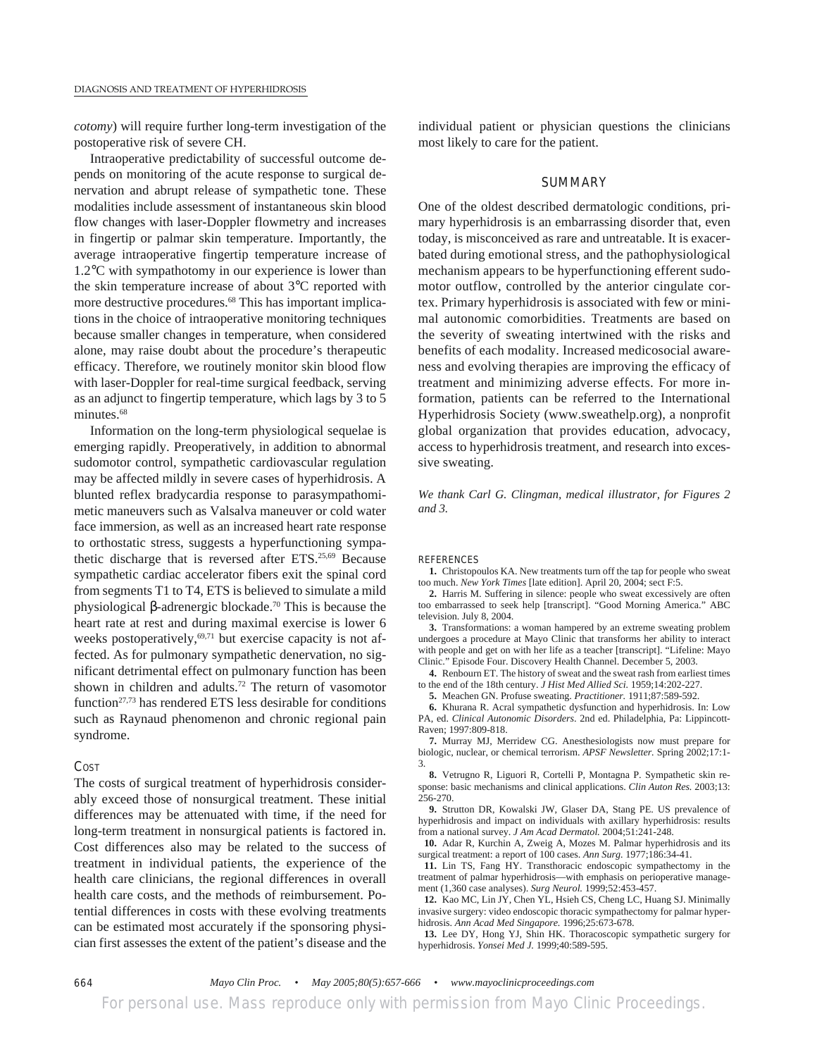*cotomy*) will require further long-term investigation of the postoperative risk of severe CH.

Intraoperative predictability of successful outcome depends on monitoring of the acute response to surgical denervation and abrupt release of sympathetic tone. These modalities include assessment of instantaneous skin blood flow changes with laser-Doppler flowmetry and increases in fingertip or palmar skin temperature. Importantly, the average intraoperative fingertip temperature increase of 1.2°C with sympathotomy in our experience is lower than the skin temperature increase of about 3°C reported with more destructive procedures.<sup>68</sup> This has important implications in the choice of intraoperative monitoring techniques because smaller changes in temperature, when considered alone, may raise doubt about the procedure's therapeutic efficacy. Therefore, we routinely monitor skin blood flow with laser-Doppler for real-time surgical feedback, serving as an adjunct to fingertip temperature, which lags by 3 to 5 minutes.<sup>68</sup>

Information on the long-term physiological sequelae is emerging rapidly. Preoperatively, in addition to abnormal sudomotor control, sympathetic cardiovascular regulation may be affected mildly in severe cases of hyperhidrosis. A blunted reflex bradycardia response to parasympathomimetic maneuvers such as Valsalva maneuver or cold water face immersion, as well as an increased heart rate response to orthostatic stress, suggests a hyperfunctioning sympathetic discharge that is reversed after ETS.<sup>25,69</sup> Because sympathetic cardiac accelerator fibers exit the spinal cord from segments T1 to T4, ETS is believed to simulate a mild physiological β-adrenergic blockade.70 This is because the heart rate at rest and during maximal exercise is lower 6 weeks postoperatively,<sup>69,71</sup> but exercise capacity is not affected. As for pulmonary sympathetic denervation, no significant detrimental effect on pulmonary function has been shown in children and adults.<sup>72</sup> The return of vasomotor function $27,73$  has rendered ETS less desirable for conditions such as Raynaud phenomenon and chronic regional pain syndrome.

#### **COST**

The costs of surgical treatment of hyperhidrosis considerably exceed those of nonsurgical treatment. These initial differences may be attenuated with time, if the need for long-term treatment in nonsurgical patients is factored in. Cost differences also may be related to the success of treatment in individual patients, the experience of the health care clinicians, the regional differences in overall health care costs, and the methods of reimbursement. Potential differences in costs with these evolving treatments can be estimated most accurately if the sponsoring physician first assesses the extent of the patient's disease and the

individual patient or physician questions the clinicians most likely to care for the patient.

#### SUMMARY

One of the oldest described dermatologic conditions, primary hyperhidrosis is an embarrassing disorder that, even today, is misconceived as rare and untreatable. It is exacerbated during emotional stress, and the pathophysiological mechanism appears to be hyperfunctioning efferent sudomotor outflow, controlled by the anterior cingulate cortex. Primary hyperhidrosis is associated with few or minimal autonomic comorbidities. Treatments are based on the severity of sweating intertwined with the risks and benefits of each modality. Increased medicosocial awareness and evolving therapies are improving the efficacy of treatment and minimizing adverse effects. For more information, patients can be referred to the International Hyperhidrosis Society (www.sweathelp.org), a nonprofit global organization that provides education, advocacy, access to hyperhidrosis treatment, and research into excessive sweating.

*We thank Carl G. Clingman, medical illustrator, for Figures 2 and 3.*

#### REFERENCES

**1.** Christopoulos KA. New treatments turn off the tap for people who sweat too much. *New York Times* [late edition]. April 20, 2004; sect F:5.

**2.** Harris M. Suffering in silence: people who sweat excessively are often too embarrassed to seek help [transcript]. "Good Morning America." ABC television. July 8, 2004.

**3.** Transformations: a woman hampered by an extreme sweating problem undergoes a procedure at Mayo Clinic that transforms her ability to interact with people and get on with her life as a teacher [transcript]. "Lifeline: Mayo Clinic." Episode Four. Discovery Health Channel. December 5, 2003.

**4.** Renbourn ET. The history of sweat and the sweat rash from earliest times to the end of the 18th century. *J Hist Med Allied Sci.* 1959;14:202-227.

**5.** Meachen GN. Profuse sweating. *Practitioner.* 1911;87:589-592.

**6.** Khurana R. Acral sympathetic dysfunction and hyperhidrosis. In: Low PA, ed. *Clinical Autonomic Disorders*. 2nd ed. Philadelphia, Pa: Lippincott-Raven; 1997:809-818.

**7.** Murray MJ, Merridew CG. Anesthesiologists now must prepare for biologic, nuclear, or chemical terrorism. *APSF Newsletter.* Spring 2002;17:1- 3.

**8.** Vetrugno R, Liguori R, Cortelli P, Montagna P. Sympathetic skin response: basic mechanisms and clinical applications. *Clin Auton Res.* 2003;13: 256-270.

**9.** Strutton DR, Kowalski JW, Glaser DA, Stang PE. US prevalence of hyperhidrosis and impact on individuals with axillary hyperhidrosis: results from a national survey. *J Am Acad Dermatol.* 2004;51:241-248.

**10.** Adar R, Kurchin A, Zweig A, Mozes M. Palmar hyperhidrosis and its surgical treatment: a report of 100 cases. *Ann Surg.* 1977;186:34-41.

**11.** Lin TS, Fang HY. Transthoracic endoscopic sympathectomy in the treatment of palmar hyperhidrosis—with emphasis on perioperative management (1,360 case analyses). *Surg Neurol.* 1999;52:453-457.

**12.** Kao MC, Lin JY, Chen YL, Hsieh CS, Cheng LC, Huang SJ. Minimally invasive surgery: video endoscopic thoracic sympathectomy for palmar hyperhidrosis. *Ann Acad Med Singapore.* 1996;25:673-678.

**13.** Lee DY, Hong YJ, Shin HK. Thoracoscopic sympathetic surgery for hyperhidrosis. *Yonsei Med J.* 1999;40:589-595.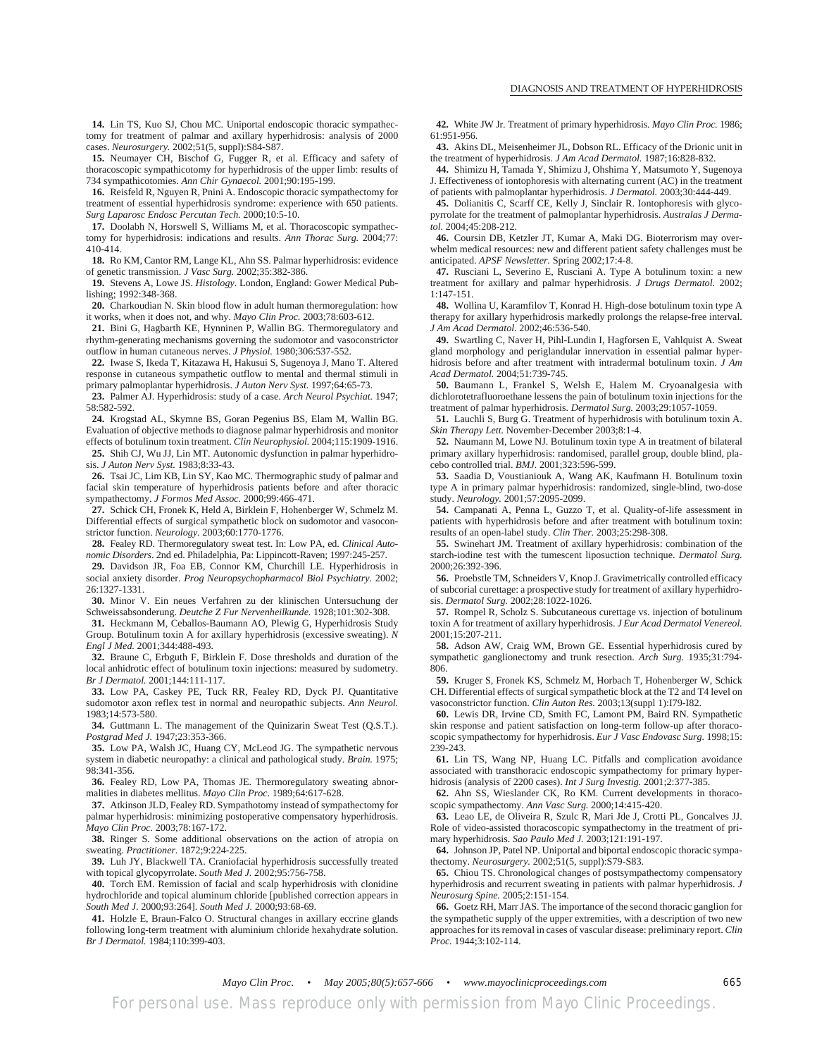**14.** Lin TS, Kuo SJ, Chou MC. Uniportal endoscopic thoracic sympathectomy for treatment of palmar and axillary hyperhidrosis: analysis of 2000 cases. *Neurosurgery.* 2002;51(5, suppl):S84-S87.

**15.** Neumayer CH, Bischof G, Fugger R, et al. Efficacy and safety of thoracoscopic sympathicotomy for hyperhidrosis of the upper limb: results of 734 sympathicotomies. *Ann Chir Gynaecol.* 2001;90:195-199.

**16.** Reisfeld R, Nguyen R, Pnini A. Endoscopic thoracic sympathectomy for treatment of essential hyperhidrosis syndrome: experience with 650 patients. *Surg Laparosc Endosc Percutan Tech.* 2000;10:5-10.

**17.** Doolabh N, Horswell S, Williams M, et al. Thoracoscopic sympathectomy for hyperhidrosis: indications and results. *Ann Thorac Surg.* 2004;77: 410-414.

**18.** Ro KM, Cantor RM, Lange KL, Ahn SS. Palmar hyperhidrosis: evidence of genetic transmission. *J Vasc Surg.* 2002;35:382-386.

**19.** Stevens A, Lowe JS. *Histology*. London, England: Gower Medical Publishing; 1992:348-368.

**20.** Charkoudian N. Skin blood flow in adult human thermoregulation: how it works, when it does not, and why. *Mayo Clin Proc.* 2003;78:603-612.

**21.** Bini G, Hagbarth KE, Hynninen P, Wallin BG. Thermoregulatory and rhythm-generating mechanisms governing the sudomotor and vasoconstrictor outflow in human cutaneous nerves. *J Physiol.* 1980;306:537-552.

**22.** Iwase S, Ikeda T, Kitazawa H, Hakusui S, Sugenoya J, Mano T. Altered response in cutaneous sympathetic outflow to mental and thermal stimuli in primary palmoplantar hyperhidrosis. *J Auton Nerv Syst.* 1997;64:65-73.

**23.** Palmer AJ. Hyperhidrosis: study of a case. *Arch Neurol Psychiat.* 1947; 58:582-592.

**24.** Krogstad AL, Skymne BS, Goran Pegenius BS, Elam M, Wallin BG. Evaluation of objective methods to diagnose palmar hyperhidrosis and monitor effects of botulinum toxin treatment. *Clin Neurophysiol.* 2004;115:1909-1916.

**25.** Shih CJ, Wu JJ, Lin MT. Autonomic dysfunction in palmar hyperhidrosis. *J Auton Nerv Syst.* 1983;8:33-43.

**26.** Tsai JC, Lim KB, Lin SY, Kao MC. Thermographic study of palmar and facial skin temperature of hyperhidrosis patients before and after thoracic sympathectomy. *J Formos Med Assoc.* 2000;99:466-471.

**27.** Schick CH, Fronek K, Held A, Birklein F, Hohenberger W, Schmelz M. Differential effects of surgical sympathetic block on sudomotor and vasoconstrictor function. *Neurology.* 2003;60:1770-1776.

**28.** Fealey RD. Thermoregulatory sweat test. In: Low PA, ed. *Clinical Autonomic Disorders*. 2nd ed. Philadelphia, Pa: Lippincott-Raven; 1997:245-257.

**29.** Davidson JR, Foa EB, Connor KM, Churchill LE. Hyperhidrosis in social anxiety disorder. *Prog Neuropsychopharmacol Biol Psychiatry.* 2002; 26:1327-1331.

**30.** Minor V. Ein neues Verfahren zu der klinischen Untersuchung der Schweissabsonderung. *Deutche Z Fur Nervenheilkunde.* 1928;101:302-308.

**31.** Heckmann M, Ceballos-Baumann AO, Plewig G, Hyperhidrosis Study Group. Botulinum toxin A for axillary hyperhidrosis (excessive sweating). *N Engl J Med.* 2001;344:488-493.

**32.** Braune C, Erbguth F, Birklein F. Dose thresholds and duration of the local anhidrotic effect of botulinum toxin injections: measured by sudometry. *Br J Dermatol.* 2001;144:111-117.

**33.** Low PA, Caskey PE, Tuck RR, Fealey RD, Dyck PJ. Quantitative sudomotor axon reflex test in normal and neuropathic subjects. *Ann Neurol.* 1983;14:573-580.

**34.** Guttmann L. The management of the Quinizarin Sweat Test (Q.S.T.). *Postgrad Med J.* 1947;23:353-366.

**35.** Low PA, Walsh JC, Huang CY, McLeod JG. The sympathetic nervous system in diabetic neuropathy: a clinical and pathological study. *Brain.* 1975; 98:341-356.

**36.** Fealey RD, Low PA, Thomas JE. Thermoregulatory sweating abnormalities in diabetes mellitus. *Mayo Clin Proc.* 1989;64:617-628.

**37.** Atkinson JLD, Fealey RD. Sympathotomy instead of sympathectomy for palmar hyperhidrosis: minimizing postoperative compensatory hyperhidrosis. *Mayo Clin Proc.* 2003;78:167-172.

**38.** Ringer S. Some additional observations on the action of atropia on sweating. *Practitioner.* 1872;9:224-225.

**39.** Luh JY, Blackwell TA. Craniofacial hyperhidrosis successfully treated with topical glycopyrrolate. *South Med J.* 2002;95:756-758.

**40.** Torch EM. Remission of facial and scalp hyperhidrosis with clonidine hydrochloride and topical aluminum chloride [published correction appears in *South Med J*. 2000;93:264]. *South Med J.* 2000;93:68-69.

**41.** Holzle E, Braun-Falco O. Structural changes in axillary eccrine glands following long-term treatment with aluminium chloride hexahydrate solution. *Br J Dermatol.* 1984;110:399-403.

**42.** White JW Jr. Treatment of primary hyperhidrosis. *Mayo Clin Proc.* 1986; 61:951-956.

**43.** Akins DL, Meisenheimer JL, Dobson RL. Efficacy of the Drionic unit in the treatment of hyperhidrosis. *J Am Acad Dermatol.* 1987;16:828-832.

**44.** Shimizu H, Tamada Y, Shimizu J, Ohshima Y, Matsumoto Y, Sugenoya J. Effectiveness of iontophoresis with alternating current (AC) in the treatment of patients with palmoplantar hyperhidrosis. *J Dermatol.* 2003;30:444-449.

**45.** Dolianitis C, Scarff CE, Kelly J, Sinclair R. Iontophoresis with glycopyrrolate for the treatment of palmoplantar hyperhidrosis. *Australas J Dermatol.* 2004;45:208-212.

**46.** Coursin DB, Ketzler JT, Kumar A, Maki DG. Bioterrorism may overwhelm medical resources: new and different patient safety challenges must be anticipated. *APSF Newsletter.* Spring 2002;17:4-8.

**47.** Rusciani L, Severino E, Rusciani A. Type A botulinum toxin: a new treatment for axillary and palmar hyperhidrosis. *J Drugs Dermatol.* 2002; 1:147-151.

**48.** Wollina U, Karamfilov T, Konrad H. High-dose botulinum toxin type A therapy for axillary hyperhidrosis markedly prolongs the relapse-free interval. *J Am Acad Dermatol.* 2002;46:536-540.

**49.** Swartling C, Naver H, Pihl-Lundin I, Hagforsen E, Vahlquist A. Sweat gland morphology and periglandular innervation in essential palmar hyperhidrosis before and after treatment with intradermal botulinum toxin. *J Am Acad Dermatol.* 2004;51:739-745.

**50.** Baumann L, Frankel S, Welsh E, Halem M. Cryoanalgesia with dichlorotetrafluoroethane lessens the pain of botulinum toxin injections for the treatment of palmar hyperhidrosis. *Dermatol Surg.* 2003;29:1057-1059.

**51.** Lauchli S, Burg G. Treatment of hyperhidrosis with botulinum toxin A. *Skin Therapy Lett.* November-December 2003;8:1-4.

**52.** Naumann M, Lowe NJ. Botulinum toxin type A in treatment of bilateral primary axillary hyperhidrosis: randomised, parallel group, double blind, placebo controlled trial. *BMJ.* 2001;323:596-599.

**53.** Saadia D, Voustianiouk A, Wang AK, Kaufmann H. Botulinum toxin type A in primary palmar hyperhidrosis: randomized, single-blind, two-dose study. *Neurology.* 2001;57:2095-2099.

**54.** Campanati A, Penna L, Guzzo T, et al. Quality-of-life assessment in patients with hyperhidrosis before and after treatment with botulinum toxin: results of an open-label study. *Clin Ther.* 2003;25:298-308.

**55.** Swinehart JM. Treatment of axillary hyperhidrosis: combination of the starch-iodine test with the tumescent liposuction technique. *Dermatol Surg.* 2000;26:392-396.

**56.** Proebstle TM, Schneiders V, Knop J. Gravimetrically controlled efficacy of subcorial curettage: a prospective study for treatment of axillary hyperhidrosis. *Dermatol Surg.* 2002;28:1022-1026.

**57.** Rompel R, Scholz S. Subcutaneous curettage vs. injection of botulinum toxin A for treatment of axillary hyperhidrosis. *J Eur Acad Dermatol Venereol.* 2001;15:207-211.

**58.** Adson AW, Craig WM, Brown GE. Essential hyperhidrosis cured by sympathetic ganglionectomy and trunk resection. *Arch Surg.* 1935;31:794- 806.

**59.** Kruger S, Fronek KS, Schmelz M, Horbach T, Hohenberger W, Schick CH. Differential effects of surgical sympathetic block at the T2 and T4 level on vasoconstrictor function. *Clin Auton Res.* 2003;13(suppl 1):I79-I82.

**60.** Lewis DR, Irvine CD, Smith FC, Lamont PM, Baird RN. Sympathetic skin response and patient satisfaction on long-term follow-up after thoracoscopic sympathectomy for hyperhidrosis. *Eur J Vasc Endovasc Surg.* 1998;15: 239-243.

**61.** Lin TS, Wang NP, Huang LC. Pitfalls and complication avoidance associated with transthoracic endoscopic sympathectomy for primary hyperhidrosis (analysis of 2200 cases). *Int J Surg Investig.* 2001;2:377-385.

**62.** Ahn SS, Wieslander CK, Ro KM. Current developments in thoracoscopic sympathectomy. *Ann Vasc Surg.* 2000;14:415-420.

**63.** Leao LE, de Oliveira R, Szulc R, Mari Jde J, Crotti PL, Goncalves JJ. Role of video-assisted thoracoscopic sympathectomy in the treatment of primary hyperhidrosis. *Sao Paulo Med J.* 2003;121:191-197.

**64.** Johnson JP, Patel NP. Uniportal and biportal endoscopic thoracic sympathectomy. *Neurosurgery.* 2002;51(5, suppl):S79-S83.

**65.** Chiou TS. Chronological changes of postsympathectomy compensatory hyperhidrosis and recurrent sweating in patients with palmar hyperhidrosis. *J Neurosurg Spine.* 2005;2:151-154.

**66.** Goetz RH, Marr JAS. The importance of the second thoracic ganglion for the sympathetic supply of the upper extremities, with a description of two new approaches for its removal in cases of vascular disease: preliminary report. *Clin Proc.* 1944;3:102-114.

For personal use. Mass reproduce only with permission from *Mayo Clinic Proceedings.*